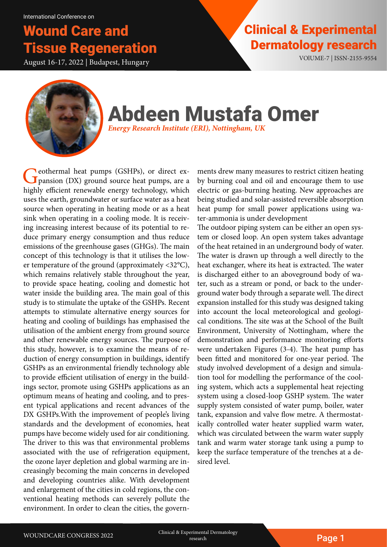# ound Care and **Tissue Regeneration**

August 16-17, 2022 | Budapest, Hungary VOLUME-7 | ISSN-2155-9554

### Clinical & Experimental Dermatology research



## Abdeen Mustafa Omer *Energy Research Institute (ERI), Nottingham, UK*

Ceothermal heat pumps (GSHPs), or direct expansion (DX) ground source heat pumps, are a highly efficient renewable energy technology, which uses the earth, groundwater or surface water as a heat source when operating in heating mode or as a heat sink when operating in a cooling mode. It is receiving increasing interest because of its potential to reduce primary energy consumption and thus reduce emissions of the greenhouse gases (GHGs). The main concept of this technology is that it utilises the lower temperature of the ground (approximately <32°C), which remains relatively stable throughout the year, to provide space heating, cooling and domestic hot water inside the building area. The main goal of this study is to stimulate the uptake of the GSHPs. Recent attempts to stimulate alternative energy sources for heating and cooling of buildings has emphasised the utilisation of the ambient energy from ground source and other renewable energy sources. The purpose of this study, however, is to examine the means of reduction of energy consumption in buildings, identify GSHPs as an environmental friendly technology able to provide efficient utilisation of energy in the buildings sector, promote using GSHPs applications as an optimum means of heating and cooling, and to present typical applications and recent advances of the DX GSHPs.With the improvement of people's living standards and the development of economies, heat pumps have become widely used for air conditioning. The driver to this was that environmental problems associated with the use of refrigeration equipment, the ozone layer depletion and global warming are increasingly becoming the main concerns in developed and developing countries alike. With development and enlargement of the cities in cold regions, the conventional heating methods can severely pollute the environment. In order to clean the cities, the govern-

ments drew many measures to restrict citizen heating by burning coal and oil and encourage them to use electric or gas-burning heating. New approaches are being studied and solar-assisted reversible absorption heat pump for small power applications using water-ammonia is under development

The outdoor piping system can be either an open system or closed loop. An open system takes advantage of the heat retained in an underground body of water. The water is drawn up through a well directly to the heat exchanger, where its heat is extracted. The water is discharged either to an aboveground body of water, such as a stream or pond, or back to the underground water body through a separate well. The direct expansion installed for this study was designed taking into account the local meteorological and geological conditions. The site was at the School of the Built Environment, University of Nottingham, where the demonstration and performance monitoring efforts were undertaken Figures (3-4). The heat pump has been fitted and monitored for one-year period. The study involved development of a design and simulation tool for modelling the performance of the cooling system, which acts a supplemental heat rejecting system using a closed-loop GSHP system. The water supply system consisted of water pump, boiler, water tank, expansion and valve flow metre. A thermostatically controlled water heater supplied warm water, which was circulated between the warm water supply tank and warm water storage tank using a pump to keep the surface temperature of the trenches at a desired level.